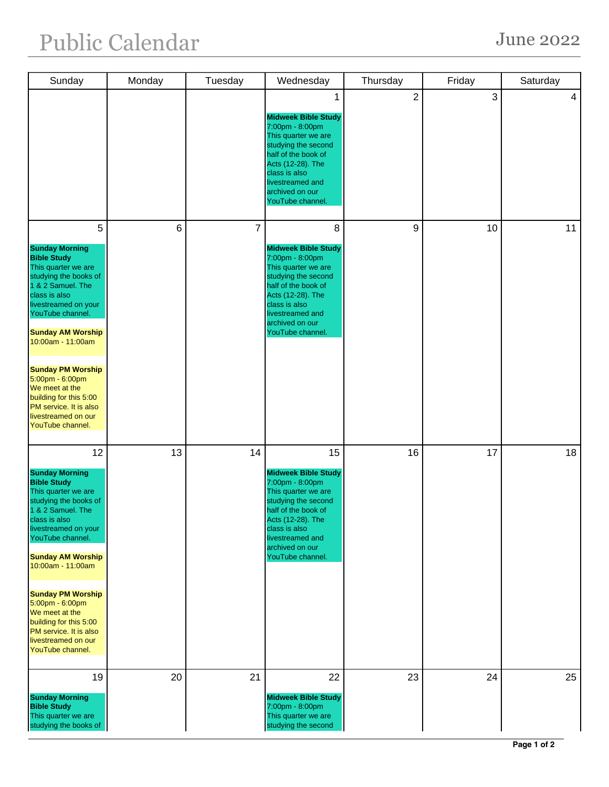| Sunday                                                                                                                                                                                                                                                                                                                                                                                               | Monday | Tuesday | Wednesday                                                                                                                                                                                                                 | Thursday       | Friday | Saturday |
|------------------------------------------------------------------------------------------------------------------------------------------------------------------------------------------------------------------------------------------------------------------------------------------------------------------------------------------------------------------------------------------------------|--------|---------|---------------------------------------------------------------------------------------------------------------------------------------------------------------------------------------------------------------------------|----------------|--------|----------|
|                                                                                                                                                                                                                                                                                                                                                                                                      |        |         | <b>Midweek Bible Study</b><br>7:00pm - 8:00pm<br>This quarter we are<br>studying the second<br>half of the book of<br>Acts (12-28). The<br>class is also<br>livestreamed and<br>archived on our<br>YouTube channel.       | $\overline{c}$ | 3      | 4        |
| 5<br><b>Sunday Morning</b><br><b>Bible Study</b><br>This quarter we are<br>studying the books of<br>1 & 2 Samuel. The<br>class is also<br>livestreamed on your<br>YouTube channel.<br><b>Sunday AM Worship</b><br>10:00am - 11:00am<br><b>Sunday PM Worship</b><br>5:00pm - 6:00pm<br>We meet at the<br>building for this 5:00<br>PM service. It is also<br>livestreamed on our<br>YouTube channel.  | 6      | 7       | 8<br><b>Midweek Bible Study</b><br>7:00pm - 8:00pm<br>This quarter we are<br>studying the second<br>half of the book of<br>Acts (12-28). The<br>class is also<br>livestreamed and<br>archived on our<br>YouTube channel.  | 9              | 10     | 11       |
| 12<br><b>Sunday Morning</b><br><b>Bible Study</b><br>This quarter we are<br>studying the books of<br>1 & 2 Samuel. The<br>class is also<br>livestreamed on your<br>YouTube channel.<br><b>Sunday AM Worship</b><br>10:00am - 11:00am<br><b>Sunday PM Worship</b><br>5:00pm - 6:00pm<br>We meet at the<br>building for this 5:00<br>PM service. It is also<br>livestreamed on our<br>YouTube channel. | 13     | 14      | 15<br><b>Midweek Bible Study</b><br>7:00pm - 8:00pm<br>This quarter we are<br>studying the second<br>half of the book of<br>Acts (12-28). The<br>class is also<br>livestreamed and<br>archived on our<br>YouTube channel. | 16             | 17     | 18       |
| 19<br><b>Sunday Morning</b><br><b>Bible Study</b><br>This quarter we are<br>studying the books of                                                                                                                                                                                                                                                                                                    | 20     | 21      | 22<br><b>Midweek Bible Study</b><br>7:00pm - 8:00pm<br>This quarter we are<br>studying the second                                                                                                                         | 23             | 24     | 25       |